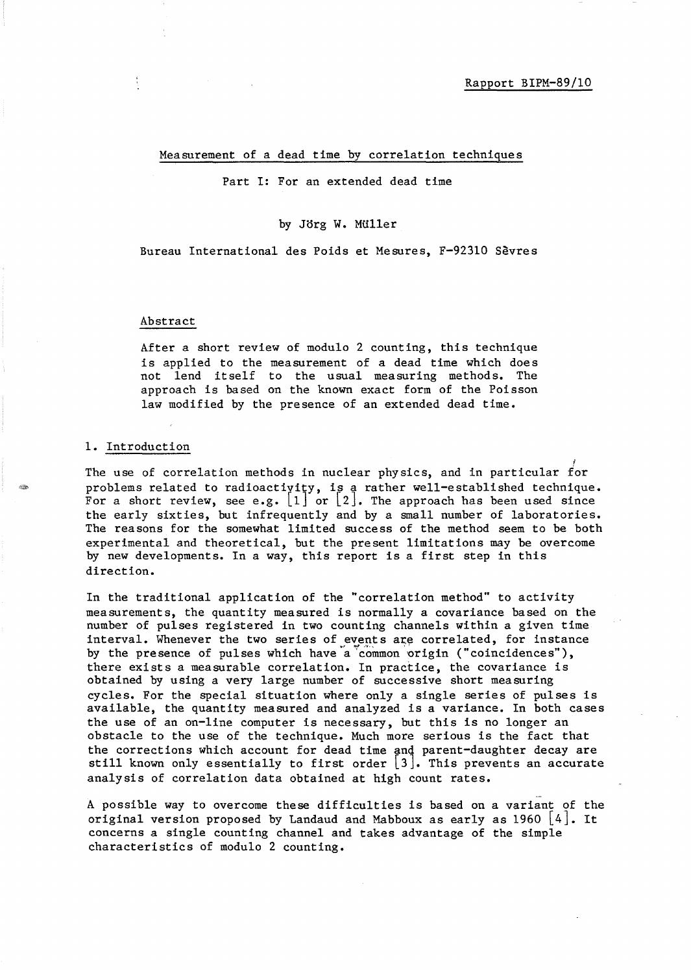#### Measurement of a dead time by correlation techniques

Part I: For an extended dead time

#### by Jorg W. MUller

Bureau International des Poids et Mesures, F-92310 Sevres

#### Abstract

After a short review of modulo 2 counting, this technique is applied to the measurement of a dead time which does not lend itself to the usual measuring methods. The approach is based on the known exact form of the Poisson law modified by the presence of an extended dead time.

#### 1. Introduction

The use of correlation methods in nuclear physics, and in particular  $\overline{\operatorname{for}}$ problems related to radioactivity, is a rather well-established technique. For a short review, see e.g.  $\begin{bmatrix} 1 \end{bmatrix}$  or  $\begin{bmatrix} 2 \end{bmatrix}$ . The approach has been used since the early sixties, but infrequently and by a small number of laboratories. The reasons for the somewhat limited success of the method seem to be both experimental and theoretical, but the present limitations may be overcome by new developments. In a way, this report is a first step in this direction.

In the traditional application of the "correlation method" to activity measurements, the quantity measured is normally a covariance based on the number of pulses registered in two counting channels within a given time interval. Whenever the two series of events are correlated, for instance by the presence of pulses which have a common origin ("coincidences"), there exists a measurable correlation. In practice, the covariance is obtained by using a very large number of successive short measuring cycles. For the special situation where only a single series of pulses is available, the quantity measured and analyzed is a variance. In both cases the use of an on-line computer is necessary, but this is no longer an obstacle to the use of the technique. Much more serious is the fact that the corrections which account for dead time and parent-daughter decay are still known only essentially to first order  $\lfloor 3 \rfloor$ . This prevents an accurate analysis of correlation data obtained at high count rates.

A possible way to overcome these difficulties is based on a variant of the original version proposed by Landaud and Mabboux as early as  $1960 \mid 4$ . It concerns a single counting channel and takes advantage of the simple characteristics of modulo 2 counting.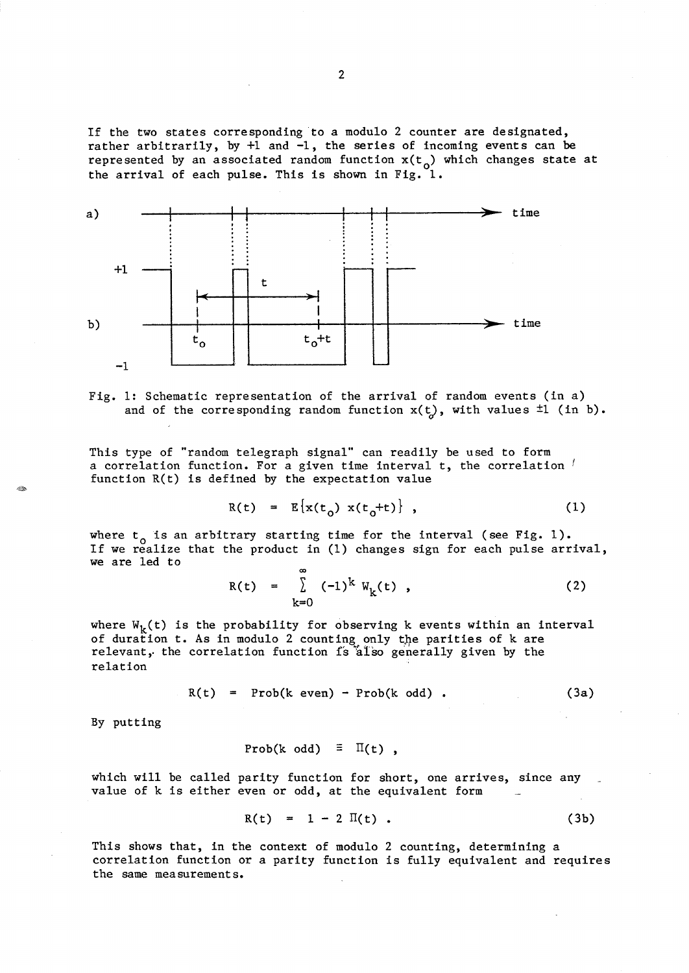If the two states corresponding to a modulo 2 counter are designated, rather arbitrarily, by +1 and -1, the series of incoming events can be represented by an associated random function  $x(t_0)$  which changes state at the arrival of each pulse. This is shown in Fig. 1.



Fig. 1: Schematic representation of the arrival of random events (in a) and of the corresponding random function  $x(t)$ , with values  $\pm 1$  (in b).

This type of "random telegraph signal" can readily be used to form a correlation function. For a given time interval t, the correlation ' function R(t) is defined by the expectation value

$$
R(t) = E\{x(t_0) x(t_0 + t)\}, \qquad (1)
$$

where  $t_0$  is an arbitrary starting time for the interval (see Fig. 1). If we realize that the product in (1) changes sign for each pulse arrival, we are led to

$$
R(t) = \sum_{k=0}^{\infty} (-1)^k W_k(t) , \qquad (2)
$$

where  $W_k(t)$  is the probability for observing k events within an interval of duration t. As in modulo 2 counting only the parities of k are relevant, the correlation function is also generally given by the relation

$$
R(t) = Prob(k \text{ even}) - Prob(k \text{ odd}). \qquad (3a)
$$

By putting

Prob(k odd)  $\equiv \Pi(t)$ ,

which will be called parity function for short, one arrives, since any value of k is either even or odd, at the equivalent form

$$
R(t) = 1 - 2 \Pi(t) . \t\t(3b)
$$

This shows that, in the context of modulo 2 counting, determining a correlation function or a parity function is fully equivalent and requires the same measurements.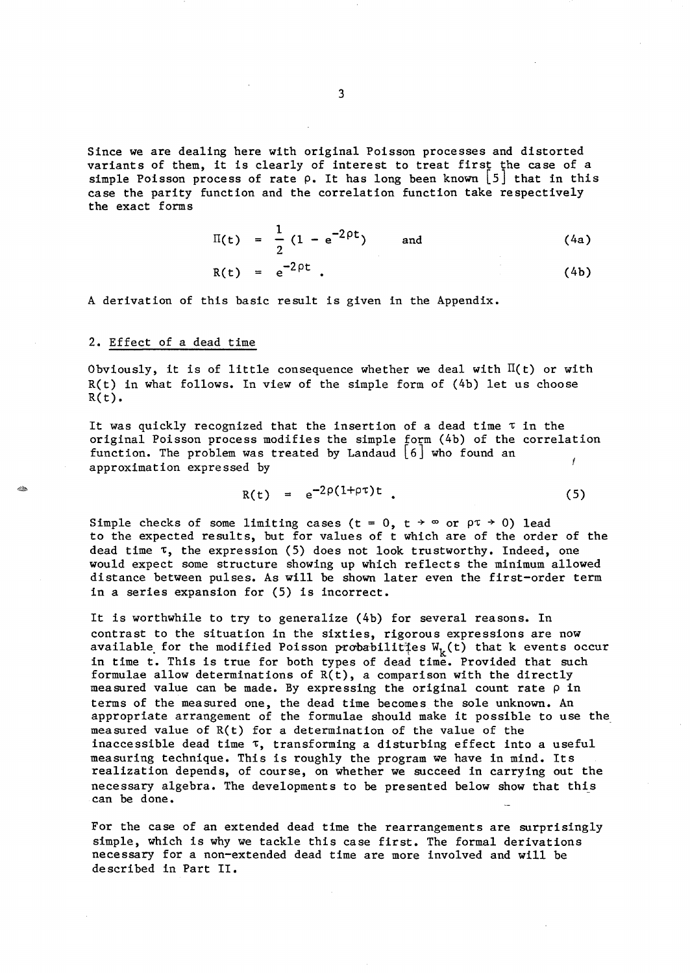Since we are dealing here with original Poisson processes and distorted variants of them, it is clearly of interest to treat first the case of a simple Poisson process of rate  $\rho$ . It has long been known [5] that in this case the parity function and the correlation function take respectively the exact forms

$$
\Pi(t) = \frac{1}{2} (1 - e^{-2\rho t}) \quad \text{and} \quad (4a)
$$
  
R(t) =  $e^{-2\rho t}$ . (4b)

A derivation of this basic result is given in the Appendix.

### 2. Effect of a dead time

Obviously, it is of little consequence whether we deal with  $\Pi(t)$  or with R(t) in what follows. In view of the simple form of (4b) let us choose  $R(t)$ .

It was quickly recognized that the insertion of a dead time  $\tau$  in the original Poisson process modifies the simple form (4b) of the correlation function. The problem was treated by Landaud  $[6]$  who found an approximation expressed by

$$
R(t) = e^{-2\rho(1+\rho\tau)t} \qquad (5)
$$

Simple checks of some limiting cases (t = 0, t  $\rightarrow \infty$  or  $\rho \tau \rightarrow 0$ ) lead to the expected results, but for values of t which are of the order of the dead time  $\tau$ , the expression (5) does not look trustworthy. Indeed, one would expect some structure showing up which reflects the minimum allowed distance between pulses. As will be shown later even the first-order term in a series expansion for (5) is incorrect.

It is worthwhile to try to generalize (4b) for several reasons. In contrast to the situation in the sixties, rigorous expressions are now available for the modified Poisson probabilit  $\mathbb{F}_k(t)$  that k events occur in time t. This is true for both types of dead time. Provided that such formulae allow determinations of R(t), a comparison with the directly measured value can be made. By expressing the original count rate  $\rho$  in terms of the measured one, the dead time becomes the sole unknown. An appropriate arrangement of the formulae should make it possible to use the measured value of  $R(t)$  for a determination of the value of the inaccessible dead time  $\tau$ , transforming a disturbing effect into a useful measuring technique. This is roughly the program we have in mind. Its realization depends, of course, on whether we succeed in carrying out the necessary algebra. The developments to be presented below show that this can be done.

For the case of an extended dead time the rearrangements are surprisingly simple, which is why we tackle this case first. The formal derivations necessary for a non-extended dead time are more involved and will be described in Part 11.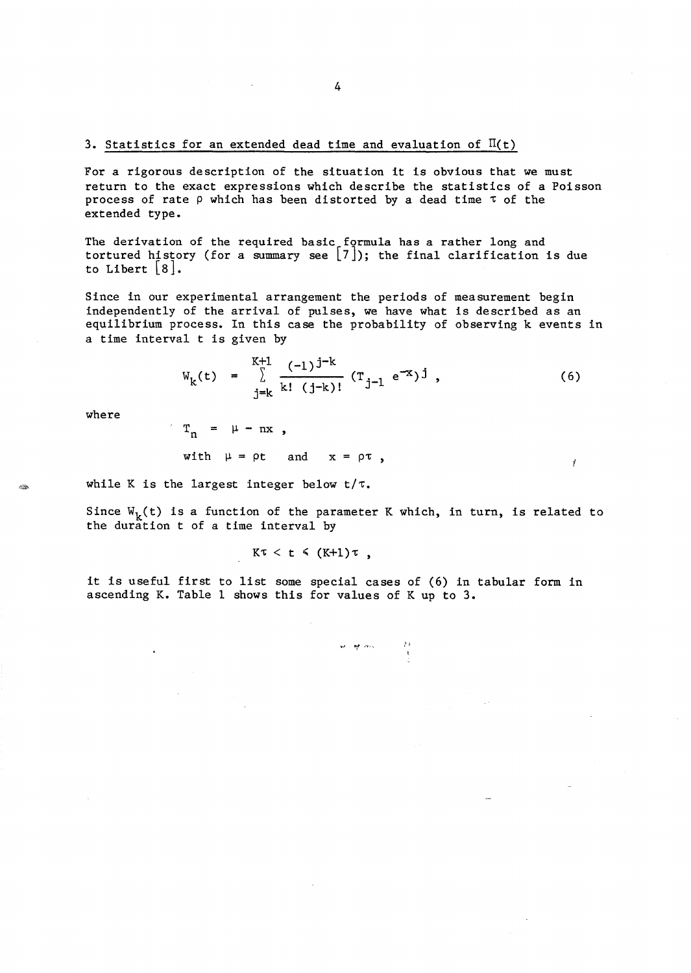For a rigorous description of the situation it is obvious that we must return to the exact expressions which describe the statistics of a Poisson process of rate  $\rho$  which has been distorted by a dead time  $\tau$  of the extended type.

The derivation of the required basic formula has a rather long and tortured history (for a summary see  $[7]$ ); the final clarification is due to Libert  $\lfloor 8 \rfloor$ .

Since in our experimental arrangement the periods of measurement begin independently of the arrival of pulses, we have what is described as an equilibrium process. In this case the probability of observing k events in a time interval t is given by

$$
W_{k}(t) = \sum_{j=k}^{K+1} \frac{(-1)^{j-k}}{k! (j-k)!} (T_{j-1} e^{-x})^{j}, \qquad (6)
$$

Ť

where

 $T_n = \mu - nx$ , with  $\mu = \rho t$  and  $x = \rho \tau$ ,

while K is the largest integer below  $t/\tau$ .

Since  $W_k(t)$  is a function of the parameter K which, in turn, is related to the duration t of a time interval by

$$
K\tau < t \leq (K+1)\tau ,
$$

it is useful first to list some special cases of (6) in tabular form in ascending K. Table 1 shows this for values of K up to **3.** 

**,." "rt** ,---,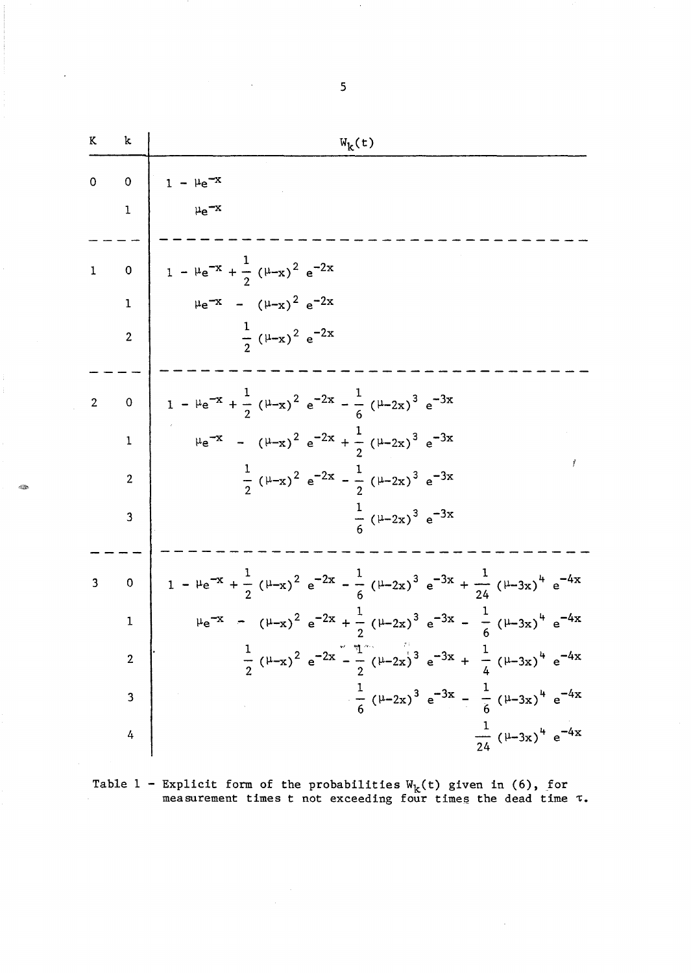| K           | k                       | $W_k(t)$                                                                                                                                                                        |
|-------------|-------------------------|---------------------------------------------------------------------------------------------------------------------------------------------------------------------------------|
| $\mathbf 0$ | $\mathbf 0$<br>1        |                                                                                                                                                                                 |
|             |                         |                                                                                                                                                                                 |
| 1           | $\mathbf 0$             | 1 - $\mu e^{-x} + \frac{1}{2} (\mu - x)^2 e^{-2x}$                                                                                                                              |
|             | $\mathbf{1}$            | $\mu e^{-x}$ - $(\mu - x)^2 e^{-2x}$                                                                                                                                            |
|             | $\overline{2}$          | $\frac{1}{2}$ ( $\mu$ -x) <sup>2</sup> e <sup>-2x</sup>                                                                                                                         |
|             | $\mathbf 0$             | 1 - $\mu e^{-x} + \frac{1}{2} (\mu - x)^2 e^{-2x} - \frac{1}{6} (\mu - 2x)^3 e^{-3x}$                                                                                           |
|             | $\mathbf 1$             | $\mu e^{-x}$ - $(\mu_{-x})^2 e^{-2x} + \frac{1}{2} (\mu_{-2x})^3 e^{-3x}$                                                                                                       |
|             | $\overline{2}$          | $\frac{1}{2}$ ( $\mu$ -x) <sup>2</sup> e <sup>-2x</sup> - $\frac{1}{2}$ ( $\mu$ -2x) <sup>3</sup> e <sup>-3x</sup>                                                              |
|             | 3                       | $\frac{1}{6}$ ( $\mu$ -2x) <sup>3</sup> e <sup>-3x</sup>                                                                                                                        |
|             |                         |                                                                                                                                                                                 |
| 3           | $\mathbf 0$             | 1 - $\mu e^{-x} + \frac{1}{2} (\mu - x)^2 e^{-2x} - \frac{1}{6} (\mu - 2x)^3 e^{-3x} + \frac{1}{24} (\mu - 3x)^4 e^{-4x}$                                                       |
|             | $\mathbf 1$             | $\mu e^{-x}$ - $(\mu_{-x})^2 e^{-2x} + \frac{1}{2} (\mu_{-2x})^3 e^{-3x} - \frac{1}{6} (\mu_{-3x})^4 e^{-4x}$                                                                   |
|             |                         | $\frac{1}{2}$ ( $\mu$ -x) <sup>2</sup> e <sup>-2x</sup> - $\frac{\pi}{2}$ ( $\mu$ -2x) <sup>3</sup> e <sup>-3x</sup> + $\frac{1}{4}$ ( $\mu$ -3x) <sup>4</sup> e <sup>-4x</sup> |
|             | $\overline{\mathbf{3}}$ | $\frac{1}{6} (\mu - 2x)^3 e^{-3x} - \frac{1}{6} (\mu - 3x)^4 e^{-4x}$                                                                                                           |
|             | 4                       | $\frac{1}{24}$ ( $\mu$ -3x) <sup>4</sup> e <sup>-4x</sup>                                                                                                                       |

 $\mathcal{L}$ 

Table 1 - Explicit form of the probabilities  $W_k(t)$  given in (6), for measurement times t not exceeding four times the dead time  $~\tau$ .

 $\ddot{\phantom{a}}$ 

 $\sim$ 

5

 $\bar{z}$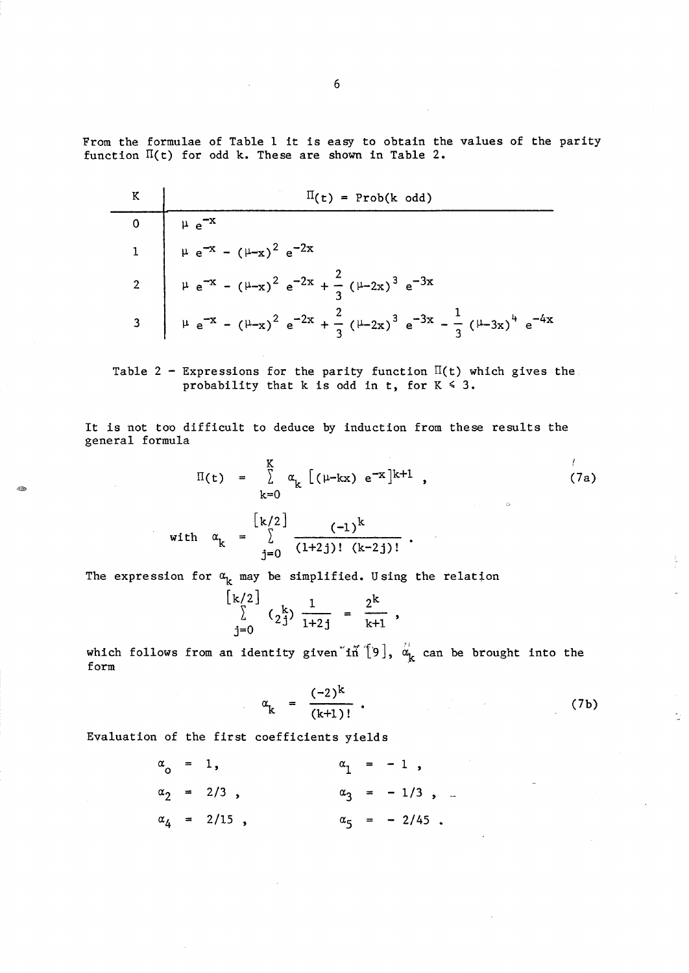From the formulae of Table 1 it is easy to obtain the values of the parity function  $\Pi(t)$  for odd k. These are shown in Table 2.

| $\Pi(t)$ = Prob(k odd)                                                                                     |
|------------------------------------------------------------------------------------------------------------|
|                                                                                                            |
| 0<br>$\mu e^{-x}$<br>1<br>$\mu e^{-x} - (\mu - x)^2 e^{-2x}$                                               |
| 2 $\mu e^{-x} - (\mu - x)^2 e^{-2x} + \frac{2}{3} (\mu - 2x)^3 e^{-3x}$                                    |
| 3 $\mu e^{-x} - (\mu - x)^2 e^{-2x} + \frac{2}{3} (\mu - 2x)^3 e^{-3x} - \frac{1}{3} (\mu - 3x)^4 e^{-4x}$ |

Table 2 - Expressions for the parity function  $\Pi(t)$  which gives the probability that k is odd in t, for  $K \leq 3$ .

It is not too difficult to deduce by induction from these results the general formula

> $\mathbf{r}$  $\Pi(t) = \sum_{k=0}^{K} \alpha_k [\mu-kx] e^{-x} k^{+1}$ , (7a) k=O with  $\alpha_k = \sum_{i=0}^{n} \frac{(-1)^i}{(1+2i)!} (k-2i)!$

The expression for  $\alpha_{\mathbf{k}}$  may be simplified. U sing the relation

$$
\begin{array}{c}\n\lfloor k/2 \rfloor \\
\hline\n\end{array}\n\quad \text{if } \n\begin{array}{c}\n1 \\
\frac{k}{1+2j}\n\end{array}\n\ = \ \frac{2^k}{k+1} \ ,
$$

which follows from an identity given in  $\alpha_k$   $\alpha_k$  can be brought into the form

$$
\alpha_{k} = \frac{(-2)^{k}}{(k+1)!} \tag{7b}
$$

Evaluation of the first coefficients yields

| $\alpha_{0} = 1,$ |                     |  | $\alpha_1 = -1$ ,       |
|-------------------|---------------------|--|-------------------------|
|                   | $\alpha_2 = 2/3$ ,  |  | $\alpha_3 = -1/3$ , $-$ |
|                   | $\alpha_4 = 2/15$ , |  | $\alpha_5 = -2/45$ .    |

220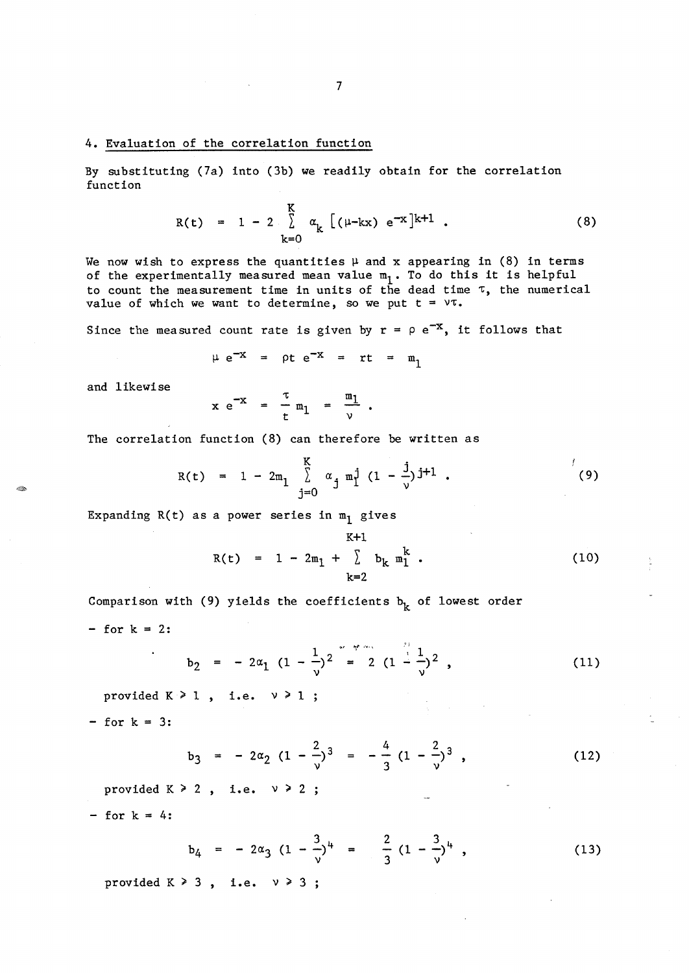### 4. Evaluation of the correlation function

By substituting (7a) into (3b) we readily obtain for the correlation function

$$
R(t) = 1 - 2 \sum_{k=0}^{K} \alpha_{k} [(\mu - kx) e^{-x}]^{k+1} . \qquad (8)
$$

We now wish to express the quantities  $\mu$  and x appearing in (8) in terms of the experimentally measured mean value  $m_1$ . To do this it is helpful to count the measurement time in units of the dead time  $\tau$ , the numerical value of which we want to determine, so we put  $t = \nu \tau$ .

Since the measured count rate is given by  $r = \rho e^{-x}$ , it follows that

$$
\mu e^{-x} = \rho t e^{-x} = rt = m_1
$$

and 1 ikewi se

$$
x e^{-x} = \frac{\tau}{t} m_1 = \frac{m_1}{\nu} .
$$

The correlation function (8) can therefore be written as

$$
R(t) = 1 - 2m_1 \sum_{j=0}^{K} \alpha_j m_1^j (1 - \frac{j}{\nu})^{j+1}.
$$
 (9)

Expanding  $R(t)$  as a power series in  $m_1$  gives

$$
R(t) = 1 - 2m_1 + \sum_{k=2}^{K+1} b_k m_1^k
$$
 (10)

Comparison with (9) yields the coefficients  $b_k$  of lowest order

 $-$  for  $k = 2$ :

 $\ddot{\phantom{a}}$ 

$$
b_2 = -2\alpha_1 (1 - \frac{1}{\nu})^2 = 2 (1 - \frac{1}{\nu})^2,
$$
 (11)

provided  $K \geq 1$ , i.e.  $v \geq 1$ 

 $-$  for  $k = 3$ :

$$
b_3 = -2\alpha_2 (1 - \frac{2}{\nu})^3 = -\frac{4}{3} (1 - \frac{2}{\nu})^3 , \qquad (12)
$$

provided  $K \geq 2$ , i.e.  $v \geq 2$ 

 $-$  for  $k = 4$ :

$$
b_4 = -2\alpha_3 (1 - \frac{3}{\nu})^4 = \frac{2}{3} (1 - \frac{3}{\nu})^4 , \qquad (13)
$$

provided  $K \geq 3$ , i.e.  $v \geq 3$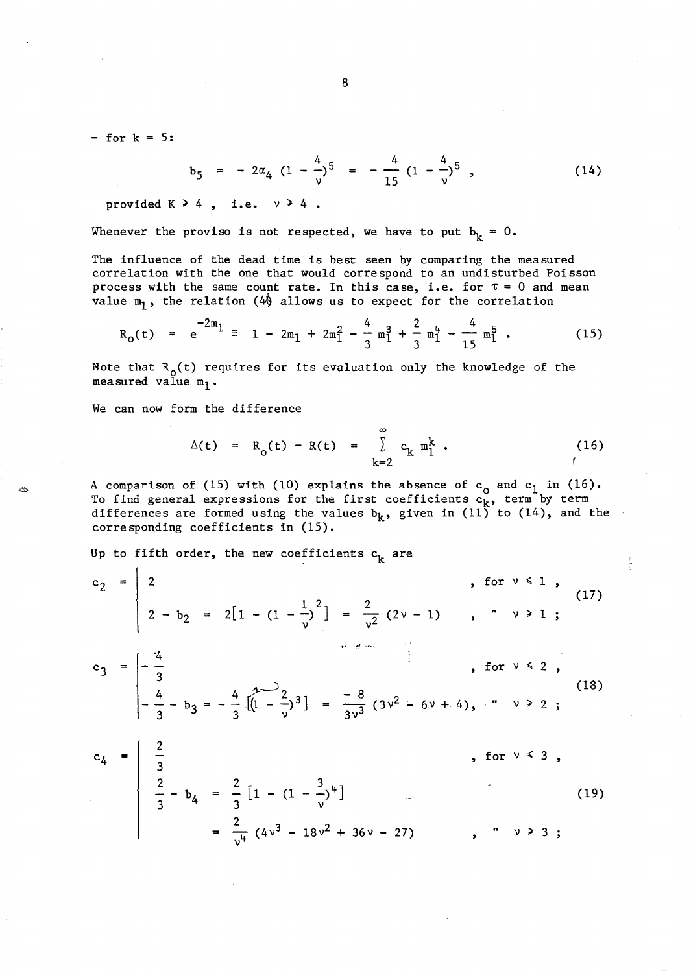$-$  for  $k = 5$ :

$$
b_5 = -2\alpha_4 (1 - \frac{4}{\nu})^5 = -\frac{4}{15} (1 - \frac{4}{\nu})^5 , \qquad (14)
$$

provided  $K > 4$ , i.e.  $v > 4$ .

Whenever the proviso is not respected, we have to put 
$$
b_k = 0
$$
.

The influence of the dead time is best seen by comparing the measured correlation with the one that would correspond to an undisturbed Poisson process with the same count rate. In this case, i.e. for  $\tau = 0$  and mean value  $m_1$ , the relation (4) allows us to expect for the correlation

$$
R_0(t) = e^{-2m_1} \approx 1 - 2m_1 + 2m_1^2 - \frac{4}{3}m_1^3 + \frac{2}{3}m_1^4 - \frac{4}{15}m_1^5
$$
 (15)

Note that  $R_0(t)$  requires for its evaluation only the knowledge of the measured value  $m_1$ .

We can now form the difference

$$
\Delta(t) = R_0(t) - R(t) = \sum_{k=2}^{\infty} c_k m_1^k .
$$
 (16)

A comparison of (15) with (10) explains the absence of  $c_0$  and  $c_1$  in (16). To find general expressions for the first coefficients  $c_k$ , term by term differences are formed using the values  $b_k$ , given in (11) to (14), and the corresponding coefficients in (15).

Up to fifth order, the new coefficients  $c_k$  are

$$
c_2 = \begin{bmatrix} 2 & , & \text{for } v \le 1 \\ 2 - b_2 & = 2[1 - (1 - \frac{1}{v})^2] = \frac{2}{v^2} (2v - 1) & , \quad v \ge 1 \\ 0 & , & \text{for } v \le 2 \\ 0 & -\frac{4}{3} & , & \text{for } v \le 2 \\ -\frac{4}{3} - b_3 & = -\frac{4}{3} \left[ (1 - \frac{2}{v})^3 \right] = \frac{-8}{3v^3} (3v^2 - 6v + 4), \quad v \ge 2 \\ 0 & , & \text{for } v \le 3 \\ \frac{2}{3} - b_4 & = \frac{2}{3} \left[ 1 - (1 - \frac{3}{v})^4 \right] = \frac{2}{v^4} (4v^3 - 18v^2 + 36v - 27) & , \quad v \ge 3 \end{bmatrix}
$$
\n(19)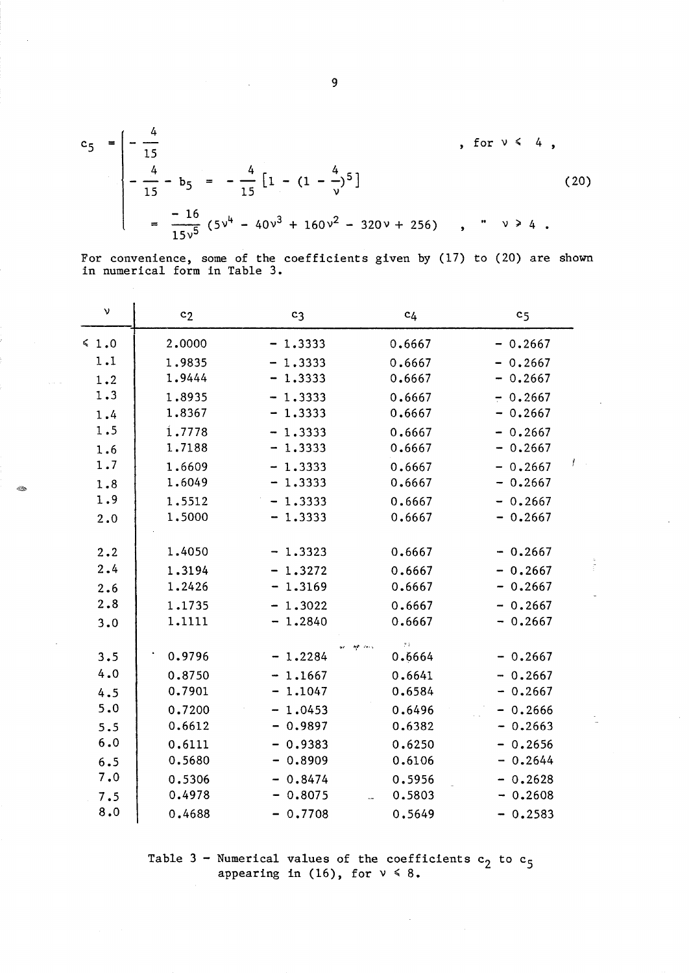$$
c_5 = \begin{bmatrix} -\frac{4}{15} & , & \text{for } \sqrt{4}, \\ -\frac{4}{15} - b_5 & = -\frac{4}{15} \left[ 1 - (1 - \frac{4}{\sqrt{5}})^5 \right] & , & \text{for } \sqrt{4}, \\ -\frac{16}{15\sqrt{5}} \left( 5\sqrt{4} - 40\sqrt{3} + 160\sqrt{2} - 320\sqrt{4} + 256 \right) & , & \sqrt{4} \end{bmatrix}
$$
 (20)

For convenience, some of the coefficients given by (17) to (20) are shown in numerical form in Table 3.

| ν          | c <sub>2</sub> | c <sub>3</sub> | c <sub>4</sub> | c <sub>5</sub> |
|------------|----------------|----------------|----------------|----------------|
| $\leq 1.0$ | 2.0000         | $-1.3333$      | 0.6667         | $-0.2667$      |
| 1.1        | 1.9835         | $-1.3333$      | 0.6667         | $-0.2667$      |
| 1.2        | 1.9444         | $-1.3333$      | 0.6667         | $-0.2667$      |
| 1.3        | 1.8935         | $-1.3333$      | 0.6667         | $-0.2667$      |
| 1.4        | 1.8367         | $-1.3333$      | 0.6667         | $-0.2667$      |
| 1.5        | 1.7778         | $-1.3333$      | 0.6667         | $-0.2667$      |
| 1.6        | 1.7188         | $-1.3333$      | 0.6667         | $-0.2667$      |
| 1.7        | 1.6609         | $-1.3333$      | 0.6667         | Ť<br>$-0.2667$ |
| 1.8        | 1.6049         | $-1.3333$      | 0.6667         | $-0.2667$      |
| 1.9        | 1.5512         | $-1.3333$      | 0.6667         | $-0.2667$      |
| 2.0        | 1.5000         | $-1.3333$      | 0.6667         | $-0.2667$      |
| 2.2        | 1.4050         | $-1.3323$      | 0.6667         | $-0.2667$      |
| 2.4        | 1.3194         | $-1.3272$      | 0.6667         | $-0.2667$      |
| 2.6        | 1.2426         | $-1.3169$      | 0.6667         | $-0.2667$      |
| 2.8        | 1.1735         | $-1.3022$      | 0.6667         | $-0.2667$      |
| 3.0        | 1.1111         | $-1.2840$      | 0.6667         | $-0.2667$      |
| 3.5        | 0.9796         | $-1.2284$      | y y<br>0.6664  | $-0.2667$      |
| 4.0        | 0.8750         | $-1.1667$      | 0.6641         | $-0.2667$      |
| 4.5        | 0.7901         | 1.1047         | 0.6584         | $-0.2667$      |
| 5.0        | 0.7200         | $-1.0453$      | 0.6496         | $-0.2666$      |
| 5.5        | 0.6612         | $-0.9897$      | 0.6382         | $-0.2663$      |
| 6.0        | 0.6111         | $-0.9383$      | 0.6250         | $-0.2656$      |
| 6.5        | 0.5680         | $-0.8909$      | 0.6106         | $-0.2644$      |
| 7.0        | 0.5306         | $-0.8474$      | 0.5956         | $-0.2628$      |
| 7.5        | 0.4978         | $-0.8075$      | 0.5803         | $-0.2608$      |
| 8.0        | 0.4688         | $-0.7708$      | 0.5649         | $-0.2583$      |

 $\mathcal{L}_{\mathcal{D}}^{(0)}$ 

Table 3 - Numerical values of the coefficients  $c_2$  to  $c_5$ appearing in (16), for  $v \le 8$ .

 $\frac{1}{2}$ 

9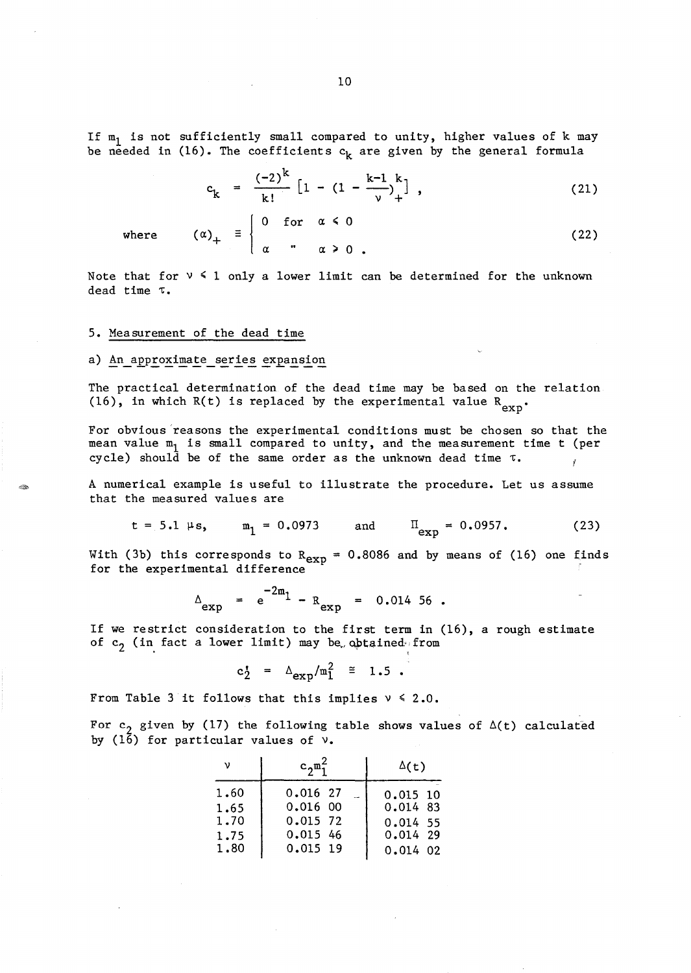If  $m_1$  is not sufficiently small compared to unity, higher values of k may be needed in (16). The coefficients  $\mathbf{c_{k}}$  are given by the general formula

$$
c_k = \frac{(-2)^k}{k!} \left[ 1 - (1 - \frac{k-1}{\nu})^k_+ \right], \qquad (21)
$$

where  $(\alpha)_+ \equiv$  (22)  $\alpha$  "  $\alpha \ge 0$ Note that for  $v \leq 1$  only a lower limit can be determined for the unknown

dead time  $\tau$ .

0 for  $\alpha \le 0$ 

### 5. Measurement of the dead time

## a) An approximate series expansion

The practical determination of the dead time may be based on the relation (16), in which R(t) is replaced by the experimental value  $R_{exp}$ 

For obvious reasons the experimental conditions must be chosen so that the mean value  $m_1$  is small compared to unity, and the measurement time t (per cycle) should be of the same order as the unknown dead time  $\tau$ .

A numerical example is useful to illustrate the procedure. Let us assume that the measured values are

$$
t = 5.1 \mu s
$$
,  $m_1 = 0.0973$  and  $\Pi_{exp} = 0.0957$ . (23)

With (3b) this corresponds to  $R_{exp} = 0.8086$  and by means of (16) one finds for the experimental difference

$$
\Delta_{\exp} = e^{-2m_1} - R_{\exp} = 0.01456.
$$

If we restrict consideration to the first term in (16), a rough estimate of  $c_2$  (in fact a lower limit) may be obtained from

$$
c_2^{\prime} = \Delta_{\text{exp}}/m_1^2 \approx 1.5.
$$

From Table 3 it follows that this implies  $v \le 2.0$ .

For c<sub>2</sub> given by (17) the following table shows values of  $\Delta(t)$  calculated by ( $1\overline{6}$ ) for particular values of  $\nu$ .

| ν    | $c_2^{\mu_1}$ | $\Delta(t)$ |  |  |
|------|---------------|-------------|--|--|
| 1.60 | $0.016$ 27    | $0.015$ 10  |  |  |
| 1.65 | $0.016$ 00    | 0.014 83    |  |  |
| 1.70 | 0.015 72      | $0.014$ 55  |  |  |
| 1.75 | 0.015 46      | $0.014$ 29  |  |  |
| 1.80 | 0.015 19      | $0.014$ 02  |  |  |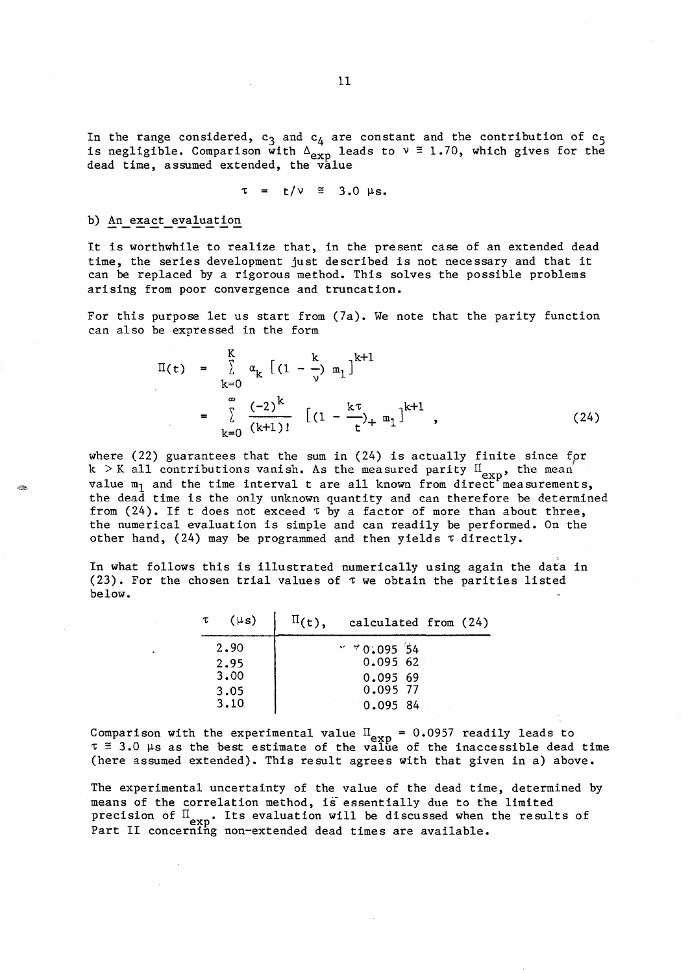In the range considered,  $c_3$  and  $c_4$  are constant and the contribution of  $c_5$ is negligible. Comparison with  $\Delta_{exp}$  leads to  $v \approx 1.70$ , which gives for the dead time, assumed extended, the value

$$
\tau = t/\nu \cong 3.0 \mu s.
$$

## b) An exact evaluation

It is worthwhile to realize that, in the present case of an extended dead time, the series development just described is not necessary and that it can be replaced by a rigorous method. This solves the possible problems arising from poor convergence and truncation.

For this purpose let us start from (7a). We note that the parity function can also be expressed in the form

$$
\Pi(t) = \sum_{k=0}^{K} \alpha_{k} \left[ (1 - \frac{k}{\nu}) m_{1} \right]^{k+1}
$$
  

$$
= \sum_{k=0}^{\infty} \frac{(-2)^{k}}{(k+1)!} \left[ (1 - \frac{k \tau}{t})_{+} m_{1} \right]^{k+1}, \qquad (24)
$$

where  $(22)$  guarantees that the sum in  $(24)$  is actually finite since for k > K all contributions vanish. As the measured parity  $\Pi_{\text{exp}}$ , the mean' value  $m_1$  and the time interval t are all known from direct measurements, the dead time is the only unknown quantity and can therefore be determined from (24). If t does not exceed  $\tau$  by a factor of more than about three, the numerical evaluation is simple and can readily be performed. On the other hand, (24) may be programmed and then yields  $\tau$  directly.

In what follows this is illustrated numerically using again the data in (23). For the chosen trial values of  $\tau$  we obtain the parities listed below.

| $\tau$ | $(\mu s)$ | calculated from (24) |  |  |
|--------|-----------|----------------------|--|--|
|        | 2.90      | $*$ * 0.095 54       |  |  |
|        | 2.95      | 0.09562              |  |  |
|        | 3.00      | 0.09569              |  |  |
|        | 3.05      | 0.095 77             |  |  |
|        | 3.10      | 0.095.84             |  |  |

Comparison with the experimental value  $\Pi_{\text{exp}} = 0.0957$  readily leads to  $\tau \approx 3.0$  µs as the best estimate of the value of the inaccessible dead time (here assumed extended). This result agrees with that given in a) above.

The experimental uncertainty of the value of the dead time, determined by means of the correlation method, is essentially due to the limited precision of  $\mathbb{I}_{\text{exp}}$ . Its evaluation will be discussed when the results of Part II concerning non-extended dead times are available.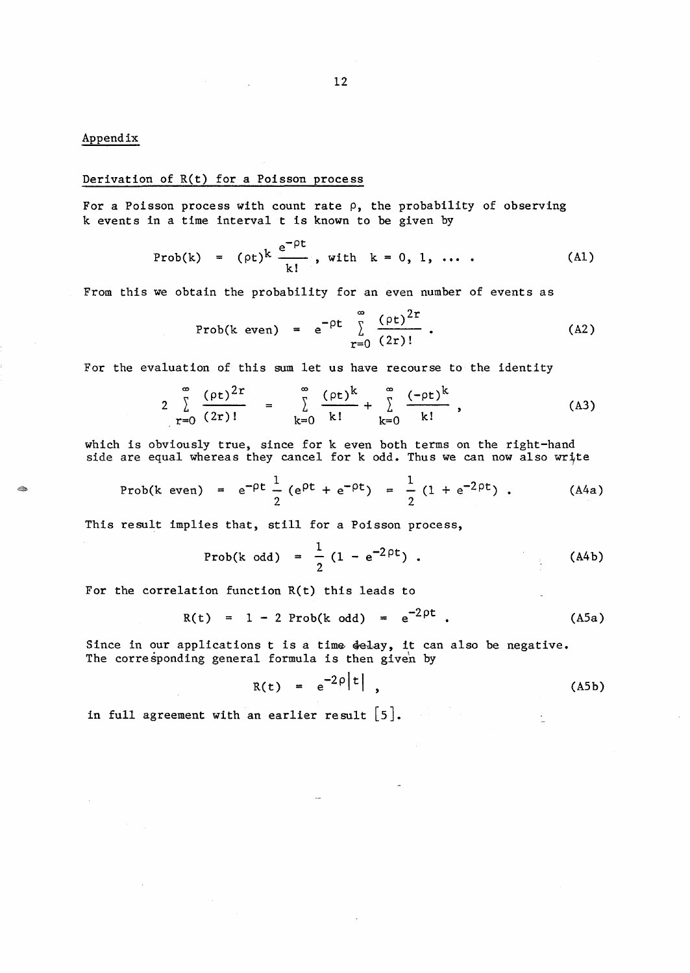# Appendix

in Do

### Derivation of R(t) for a Poisson process

For a Poisson process with count rate  $\rho$ , the probability of observing k events in a time interval t is known to be given by

$$
Prob(k) = (\rho t)^k \frac{e^{-\rho t}}{k!}, \text{ with } k = 0, 1, \ldots
$$
 (A1)

From this we obtain the probability for an even number of events as

Prob(k even) = 
$$
e^{-\rho t} \sum_{r=0}^{\infty} \frac{(\rho t)^{2r}}{(2r)!}
$$
 (A2)

For the evaluation of this sum let us have recourse to the identity

$$
2\sum_{r=0}^{\infty}\frac{(\rho t)^{2r}}{(2r)!} = \sum_{k=0}^{\infty}\frac{(\rho t)^{k}}{k!} + \sum_{k=0}^{\infty}\frac{(-\rho t)^{k}}{k!},
$$
 (A3)

which is obviously true, since for k even both terms on the right-hand side are equal whereas they cancel for  $k$  odd. Thus we can now also write

Prob(k even) = 
$$
e^{-\rho t} \frac{1}{2} (e^{\rho t} + e^{-\rho t}) = \frac{1}{2} (1 + e^{-2\rho t})
$$
. (A4a)

This result implies that, still for a Poisson process,

Prob(k odd) = 
$$
\frac{1}{2}
$$
 (1 - e<sup>-2pt</sup>) . (A4b)

For the correlation function R(t) this leads to

$$
R(t) = 1 - 2 Prob(k odd) = e^{-2pt}
$$
 (A5a)

Since in our applications t is a time delay, it can also be negative. The corresponding general formula is then given by

$$
R(t) = e^{-2\rho |t|}, \qquad (A5b)
$$

in full agreement with an earlier result  $[5]$ .